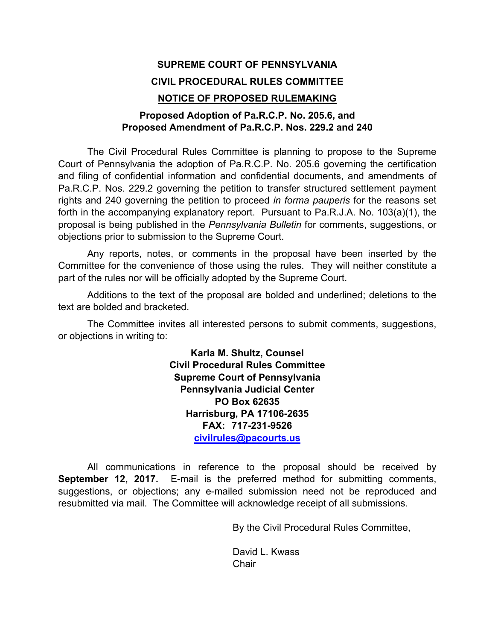# **SUPREME COURT OF PENNSYLVANIA CIVIL PROCEDURAL RULES COMMITTEE NOTICE OF PROPOSED RULEMAKING**

### **Proposed Adoption of Pa.R.C.P. No. 205.6, and Proposed Amendment of Pa.R.C.P. Nos. 229.2 and 240**

The Civil Procedural Rules Committee is planning to propose to the Supreme Court of Pennsylvania the adoption of Pa.R.C.P. No. 205.6 governing the certification and filing of confidential information and confidential documents, and amendments of Pa.R.C.P. Nos. 229.2 governing the petition to transfer structured settlement payment rights and 240 governing the petition to proceed *in forma pauperis* for the reasons set forth in the accompanying explanatory report. Pursuant to Pa.R.J.A. No. 103(a)(1), the proposal is being published in the *Pennsylvania Bulletin* for comments, suggestions, or objections prior to submission to the Supreme Court.

Any reports, notes, or comments in the proposal have been inserted by the Committee for the convenience of those using the rules. They will neither constitute a part of the rules nor will be officially adopted by the Supreme Court.

Additions to the text of the proposal are bolded and underlined; deletions to the text are bolded and bracketed.

The Committee invites all interested persons to submit comments, suggestions, or objections in writing to:

> **Karla M. Shultz, Counsel Civil Procedural Rules Committee Supreme Court of Pennsylvania Pennsylvania Judicial Center PO Box 62635 Harrisburg, PA 17106-2635 FAX: 717-231-9526 civilrules@pacourts.us**

All communications in reference to the proposal should be received by **September 12, 2017.** E-mail is the preferred method for submitting comments, suggestions, or objections; any e-mailed submission need not be reproduced and resubmitted via mail. The Committee will acknowledge receipt of all submissions.

By the Civil Procedural Rules Committee,

David L. Kwass **Chair**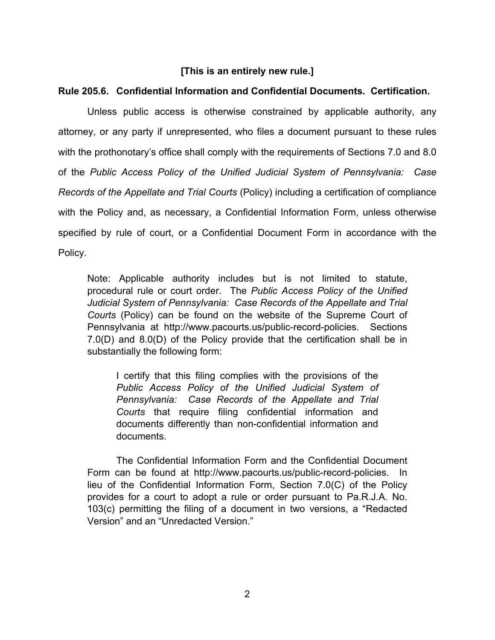#### **[This is an entirely new rule.]**

#### **Rule 205.6. Confidential Information and Confidential Documents. Certification.**

Unless public access is otherwise constrained by applicable authority, any attorney, or any party if unrepresented, who files a document pursuant to these rules with the prothonotary's office shall comply with the requirements of Sections 7.0 and 8.0 of the *Public Access Policy of the Unified Judicial System of Pennsylvania: Case Records of the Appellate and Trial Courts* (Policy) including a certification of compliance with the Policy and, as necessary, a Confidential Information Form, unless otherwise specified by rule of court, or a Confidential Document Form in accordance with the Policy.

Note: Applicable authority includes but is not limited to statute, procedural rule or court order. The *Public Access Policy of the Unified Judicial System of Pennsylvania: Case Records of the Appellate and Trial Courts* (Policy) can be found on the website of the Supreme Court of Pennsylvania at http://www.pacourts.us/public-record-policies. Sections 7.0(D) and 8.0(D) of the Policy provide that the certification shall be in substantially the following form:

I certify that this filing complies with the provisions of the *Public Access Policy of the Unified Judicial System of Pennsylvania: Case Records of the Appellate and Trial Courts* that require filing confidential information and documents differently than non-confidential information and documents.

The Confidential Information Form and the Confidential Document Form can be found at http://www.pacourts.us/public-record-policies. In lieu of the Confidential Information Form, Section 7.0(C) of the Policy provides for a court to adopt a rule or order pursuant to Pa.R.J.A. No. 103(c) permitting the filing of a document in two versions, a "Redacted Version" and an "Unredacted Version."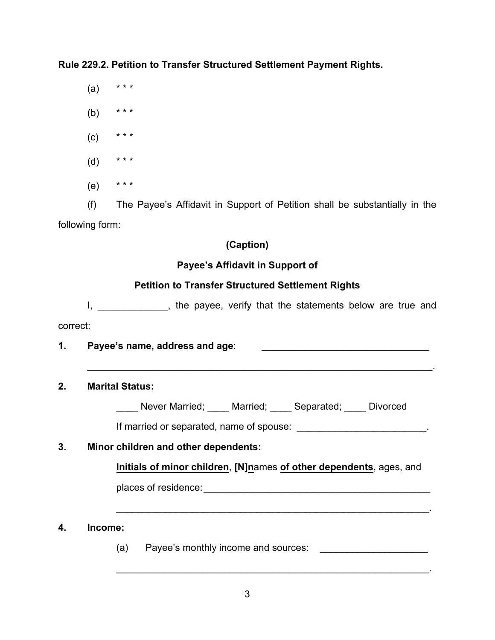**Rule 229.2. Petition to Transfer Structured Settlement Payment Rights.**

 $(a)$  \*\*\*

(b) \* \* \*

 $(C)$  \* \* \*

- (d) \* \* \*
- $(e)$  \* \* \*

(f) The Payee's Affidavit in Support of Petition shall be substantially in the following form:

# **(Caption)**

## **Payee's Affidavit in Support of**

# **Petition to Transfer Structured Settlement Rights**

I, and the payee, verify that the statements below are true and correct:

**1. Payee's name, address and age**: \_\_\_\_\_\_\_\_\_\_\_\_\_\_\_\_\_\_\_\_\_\_\_\_\_\_\_\_\_\_\_

### **2. Marital Status:**

Never Married; Married; Separated; Divorced

If married or separated, name of spouse:  $\blacksquare$ 

 $\mathcal{L}_\text{max} = \mathcal{L}_\text{max} = \mathcal{L}_\text{max} = \mathcal{L}_\text{max} = \mathcal{L}_\text{max} = \mathcal{L}_\text{max} = \mathcal{L}_\text{max} = \mathcal{L}_\text{max} = \mathcal{L}_\text{max} = \mathcal{L}_\text{max} = \mathcal{L}_\text{max} = \mathcal{L}_\text{max} = \mathcal{L}_\text{max} = \mathcal{L}_\text{max} = \mathcal{L}_\text{max} = \mathcal{L}_\text{max} = \mathcal{L}_\text{max} = \mathcal{L}_\text{max} = \mathcal{$ 

# **3. Minor children and other dependents:**

**Initials of minor children**, **[N]n**ames **of other dependents**, ages, and

 $\mathcal{L}_\text{max} = \mathcal{L}_\text{max} = \mathcal{L}_\text{max} = \mathcal{L}_\text{max} = \mathcal{L}_\text{max} = \mathcal{L}_\text{max} = \mathcal{L}_\text{max} = \mathcal{L}_\text{max} = \mathcal{L}_\text{max} = \mathcal{L}_\text{max} = \mathcal{L}_\text{max} = \mathcal{L}_\text{max} = \mathcal{L}_\text{max} = \mathcal{L}_\text{max} = \mathcal{L}_\text{max} = \mathcal{L}_\text{max} = \mathcal{L}_\text{max} = \mathcal{L}_\text{max} = \mathcal{$ 

 $\mathcal{L}_\text{max} = \mathcal{L}_\text{max} = \mathcal{L}_\text{max} = \mathcal{L}_\text{max} = \mathcal{L}_\text{max} = \mathcal{L}_\text{max} = \mathcal{L}_\text{max} = \mathcal{L}_\text{max} = \mathcal{L}_\text{max} = \mathcal{L}_\text{max} = \mathcal{L}_\text{max} = \mathcal{L}_\text{max} = \mathcal{L}_\text{max} = \mathcal{L}_\text{max} = \mathcal{L}_\text{max} = \mathcal{L}_\text{max} = \mathcal{L}_\text{max} = \mathcal{L}_\text{max} = \mathcal{$ 

places of residence:\_\_\_\_\_\_\_\_\_\_\_\_\_\_\_\_\_\_\_\_\_\_\_\_\_\_\_\_\_\_\_\_\_\_\_\_\_\_\_\_\_\_

### **4. Income:**

(a) Payee's monthly income and sources: \_\_\_\_\_\_\_\_\_\_\_\_\_\_\_\_\_\_\_\_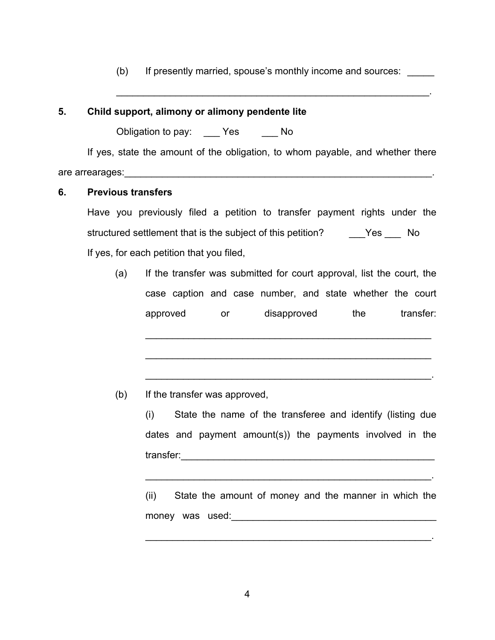(b) If presently married, spouse's monthly income and sources:

 $\mathcal{L}_\text{max} = \mathcal{L}_\text{max} = \mathcal{L}_\text{max} = \mathcal{L}_\text{max} = \mathcal{L}_\text{max} = \mathcal{L}_\text{max} = \mathcal{L}_\text{max} = \mathcal{L}_\text{max} = \mathcal{L}_\text{max} = \mathcal{L}_\text{max} = \mathcal{L}_\text{max} = \mathcal{L}_\text{max} = \mathcal{L}_\text{max} = \mathcal{L}_\text{max} = \mathcal{L}_\text{max} = \mathcal{L}_\text{max} = \mathcal{L}_\text{max} = \mathcal{L}_\text{max} = \mathcal{$ 

#### **5. Child support, alimony or alimony pendente lite**

Obligation to pay: Yes No

If yes, state the amount of the obligation, to whom payable, and whether there are arrearages: entries are arrear and a set of the set of the set of the set of the set of the set of the set

#### **6. Previous transfers**

Have you previously filed a petition to transfer payment rights under the structured settlement that is the subject of this petition? The State State State State State State State State If yes, for each petition that you filed,

(a) If the transfer was submitted for court approval, list the court, the case caption and case number, and state whether the court approved or disapproved the transfer:

(b) If the transfer was approved,

(i) State the name of the transferee and identify (listing due dates and payment amount(s)) the payments involved in the transfer:\_\_\_\_\_\_\_\_\_\_\_\_\_\_\_\_\_\_\_\_\_\_\_\_\_\_\_\_\_\_\_\_\_\_\_\_\_\_\_\_\_\_\_\_\_\_\_

 $\mathcal{L}_\text{max} = \mathcal{L}_\text{max} = \mathcal{L}_\text{max} = \mathcal{L}_\text{max} = \mathcal{L}_\text{max} = \mathcal{L}_\text{max} = \mathcal{L}_\text{max} = \mathcal{L}_\text{max} = \mathcal{L}_\text{max} = \mathcal{L}_\text{max} = \mathcal{L}_\text{max} = \mathcal{L}_\text{max} = \mathcal{L}_\text{max} = \mathcal{L}_\text{max} = \mathcal{L}_\text{max} = \mathcal{L}_\text{max} = \mathcal{L}_\text{max} = \mathcal{L}_\text{max} = \mathcal{$ 

 $\mathcal{L}_\text{max} = \mathcal{L}_\text{max} = \mathcal{L}_\text{max} = \mathcal{L}_\text{max} = \mathcal{L}_\text{max} = \mathcal{L}_\text{max} = \mathcal{L}_\text{max} = \mathcal{L}_\text{max} = \mathcal{L}_\text{max} = \mathcal{L}_\text{max} = \mathcal{L}_\text{max} = \mathcal{L}_\text{max} = \mathcal{L}_\text{max} = \mathcal{L}_\text{max} = \mathcal{L}_\text{max} = \mathcal{L}_\text{max} = \mathcal{L}_\text{max} = \mathcal{L}_\text{max} = \mathcal{$ 

(ii) State the amount of money and the manner in which the money was used:  $\blacksquare$ 

 $\mathcal{L}_\text{max} = \mathcal{L}_\text{max} = \mathcal{L}_\text{max} = \mathcal{L}_\text{max} = \mathcal{L}_\text{max} = \mathcal{L}_\text{max} = \mathcal{L}_\text{max} = \mathcal{L}_\text{max} = \mathcal{L}_\text{max} = \mathcal{L}_\text{max} = \mathcal{L}_\text{max} = \mathcal{L}_\text{max} = \mathcal{L}_\text{max} = \mathcal{L}_\text{max} = \mathcal{L}_\text{max} = \mathcal{L}_\text{max} = \mathcal{L}_\text{max} = \mathcal{L}_\text{max} = \mathcal{$ 

 $\mathcal{L}_\text{max} = \mathcal{L}_\text{max} = \mathcal{L}_\text{max} = \mathcal{L}_\text{max} = \mathcal{L}_\text{max} = \mathcal{L}_\text{max} = \mathcal{L}_\text{max} = \mathcal{L}_\text{max} = \mathcal{L}_\text{max} = \mathcal{L}_\text{max} = \mathcal{L}_\text{max} = \mathcal{L}_\text{max} = \mathcal{L}_\text{max} = \mathcal{L}_\text{max} = \mathcal{L}_\text{max} = \mathcal{L}_\text{max} = \mathcal{L}_\text{max} = \mathcal{L}_\text{max} = \mathcal{$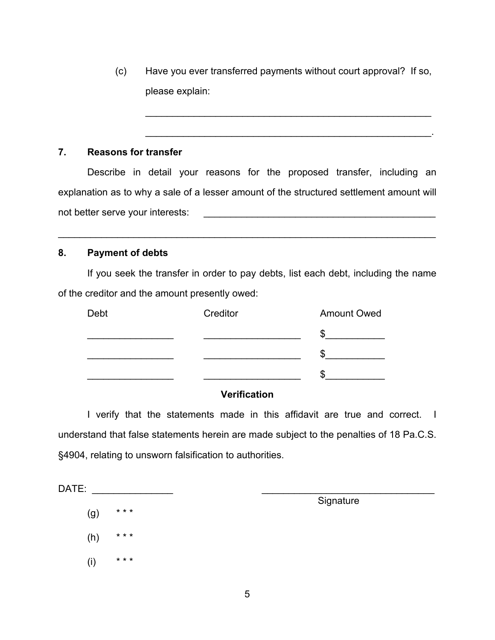(c) Have you ever transferred payments without court approval? If so, please explain:

 $\mathcal{L}_\text{max} = \mathcal{L}_\text{max} = \mathcal{L}_\text{max} = \mathcal{L}_\text{max} = \mathcal{L}_\text{max} = \mathcal{L}_\text{max} = \mathcal{L}_\text{max} = \mathcal{L}_\text{max} = \mathcal{L}_\text{max} = \mathcal{L}_\text{max} = \mathcal{L}_\text{max} = \mathcal{L}_\text{max} = \mathcal{L}_\text{max} = \mathcal{L}_\text{max} = \mathcal{L}_\text{max} = \mathcal{L}_\text{max} = \mathcal{L}_\text{max} = \mathcal{L}_\text{max} = \mathcal{$ 

 $\mathcal{L}_\text{max} = \mathcal{L}_\text{max} = \mathcal{L}_\text{max} = \mathcal{L}_\text{max} = \mathcal{L}_\text{max} = \mathcal{L}_\text{max} = \mathcal{L}_\text{max} = \mathcal{L}_\text{max} = \mathcal{L}_\text{max} = \mathcal{L}_\text{max} = \mathcal{L}_\text{max} = \mathcal{L}_\text{max} = \mathcal{L}_\text{max} = \mathcal{L}_\text{max} = \mathcal{L}_\text{max} = \mathcal{L}_\text{max} = \mathcal{L}_\text{max} = \mathcal{L}_\text{max} = \mathcal{$ 

#### **7. Reasons for transfer**

Describe in detail your reasons for the proposed transfer, including an explanation as to why a sale of a lesser amount of the structured settlement amount will not better serve your interests: \_\_\_\_\_\_\_\_\_\_\_\_\_\_\_\_\_\_\_\_\_\_\_\_\_\_\_\_\_\_\_\_\_\_\_\_\_\_\_\_\_\_\_

 $\mathcal{L}_\mathcal{L} = \mathcal{L}_\mathcal{L} = \mathcal{L}_\mathcal{L} = \mathcal{L}_\mathcal{L} = \mathcal{L}_\mathcal{L} = \mathcal{L}_\mathcal{L} = \mathcal{L}_\mathcal{L} = \mathcal{L}_\mathcal{L} = \mathcal{L}_\mathcal{L} = \mathcal{L}_\mathcal{L} = \mathcal{L}_\mathcal{L} = \mathcal{L}_\mathcal{L} = \mathcal{L}_\mathcal{L} = \mathcal{L}_\mathcal{L} = \mathcal{L}_\mathcal{L} = \mathcal{L}_\mathcal{L} = \mathcal{L}_\mathcal{L}$ 

#### **8. Payment of debts**

If you seek the transfer in order to pay debts, list each debt, including the name of the creditor and the amount presently owed:

| Debt | Creditor | <b>Amount Owed</b> |
|------|----------|--------------------|
|      |          | æ                  |
|      |          |                    |
|      |          |                    |
|      |          |                    |

#### **Verification**

I verify that the statements made in this affidavit are true and correct. I understand that false statements herein are made subject to the penalties of 18 Pa.C.S. §4904, relating to unsworn falsification to authorities.

 $\mathsf{DATE}$ :  $(g)$  \* \* \*

(h)  $***$ 

 $(i)$  \* \* \*

Signature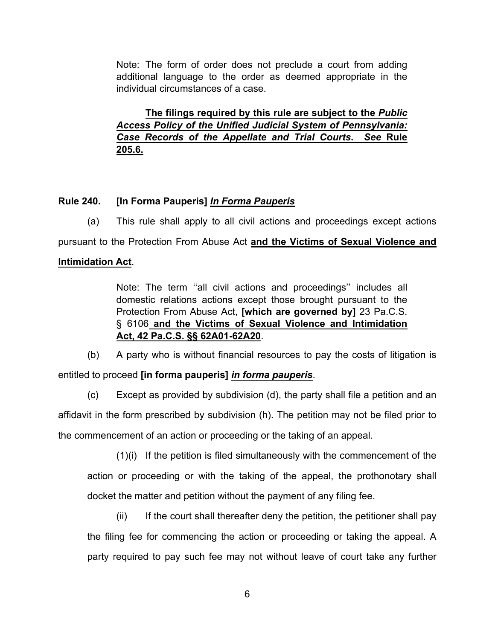Note: The form of order does not preclude a court from adding additional language to the order as deemed appropriate in the individual circumstances of a case.

**The filings required by this rule are subject to the** *Public Access Policy of the Unified Judicial System of Pennsylvania: Case Records of the Appellate and Trial Courts***.** *See* **Rule 205.6.**

### **Rule 240. [In Forma Pauperis]** *In Forma Pauperis*

(a) This rule shall apply to all civil actions and proceedings except actions pursuant to the Protection From Abuse Act **and the Victims of Sexual Violence and** 

#### **Intimidation Act**.

Note: The term ''all civil actions and proceedings'' includes all domestic relations actions except those brought pursuant to the Protection From Abuse Act, **[which are governed by]** 23 Pa.C.S. § 6106 **and the Victims of Sexual Violence and Intimidation Act, 42 Pa.C.S. §§ 62A01-62A20**.

(b) A party who is without financial resources to pay the costs of litigation is

entitled to proceed **[in forma pauperis]** *in forma pauperis*.

(c) Except as provided by subdivision (d), the party shall file a petition and an affidavit in the form prescribed by subdivision (h). The petition may not be filed prior to the commencement of an action or proceeding or the taking of an appeal.

(1)(i) If the petition is filed simultaneously with the commencement of the action or proceeding or with the taking of the appeal, the prothonotary shall docket the matter and petition without the payment of any filing fee.

(ii) If the court shall thereafter deny the petition, the petitioner shall pay the filing fee for commencing the action or proceeding or taking the appeal. A party required to pay such fee may not without leave of court take any further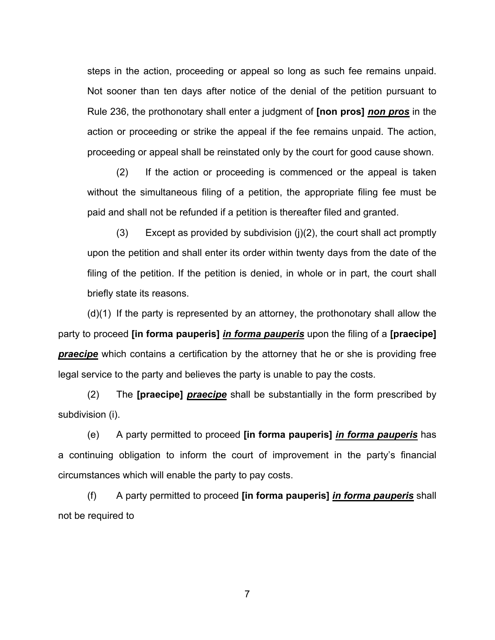steps in the action, proceeding or appeal so long as such fee remains unpaid. Not sooner than ten days after notice of the denial of the petition pursuant to Rule 236, the prothonotary shall enter a judgment of **[non pros]** *non pros* in the action or proceeding or strike the appeal if the fee remains unpaid. The action, proceeding or appeal shall be reinstated only by the court for good cause shown.

(2) If the action or proceeding is commenced or the appeal is taken without the simultaneous filing of a petition, the appropriate filing fee must be paid and shall not be refunded if a petition is thereafter filed and granted.

(3) Except as provided by subdivision (j)(2), the court shall act promptly upon the petition and shall enter its order within twenty days from the date of the filing of the petition. If the petition is denied, in whole or in part, the court shall briefly state its reasons.

(d)(1) If the party is represented by an attorney, the prothonotary shall allow the party to proceed **[in forma pauperis]** *in forma pauperis* upon the filing of a **[praecipe]** *praecipe* which contains a certification by the attorney that he or she is providing free legal service to the party and believes the party is unable to pay the costs.

 (2) The **[praecipe]** *praecipe* shall be substantially in the form prescribed by subdivision (i).

(e) A party permitted to proceed **[in forma pauperis]** *in forma pauperis* has a continuing obligation to inform the court of improvement in the party's financial circumstances which will enable the party to pay costs.

(f) A party permitted to proceed **[in forma pauperis]** *in forma pauperis* shall not be required to

7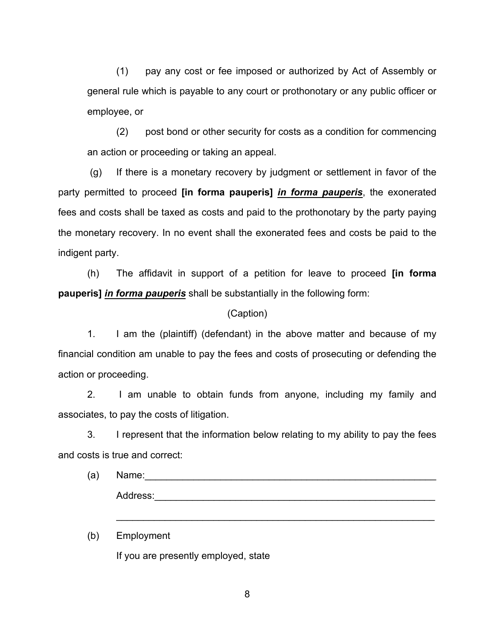(1) pay any cost or fee imposed or authorized by Act of Assembly or general rule which is payable to any court or prothonotary or any public officer or employee, or

(2) post bond or other security for costs as a condition for commencing an action or proceeding or taking an appeal.

(g) If there is a monetary recovery by judgment or settlement in favor of the party permitted to proceed **[in forma pauperis]** *in forma pauperis*, the exonerated fees and costs shall be taxed as costs and paid to the prothonotary by the party paying the monetary recovery. In no event shall the exonerated fees and costs be paid to the indigent party.

(h) The affidavit in support of a petition for leave to proceed **[in forma pauperis]** *in forma pauperis* shall be substantially in the following form:

#### (Caption)

1. I am the (plaintiff) (defendant) in the above matter and because of my financial condition am unable to pay the fees and costs of prosecuting or defending the action or proceeding.

2. I am unable to obtain funds from anyone, including my family and associates, to pay the costs of litigation.

3. I represent that the information below relating to my ability to pay the fees and costs is true and correct:

| (a) | Name:    |  |  |  |
|-----|----------|--|--|--|
|     | Address: |  |  |  |
|     |          |  |  |  |

 $\mathcal{L}_\text{max} = \mathcal{L}_\text{max} = \mathcal{L}_\text{max} = \mathcal{L}_\text{max} = \mathcal{L}_\text{max} = \mathcal{L}_\text{max} = \mathcal{L}_\text{max} = \mathcal{L}_\text{max} = \mathcal{L}_\text{max} = \mathcal{L}_\text{max} = \mathcal{L}_\text{max} = \mathcal{L}_\text{max} = \mathcal{L}_\text{max} = \mathcal{L}_\text{max} = \mathcal{L}_\text{max} = \mathcal{L}_\text{max} = \mathcal{L}_\text{max} = \mathcal{L}_\text{max} = \mathcal{$ 

(b) Employment If you are presently employed, state

8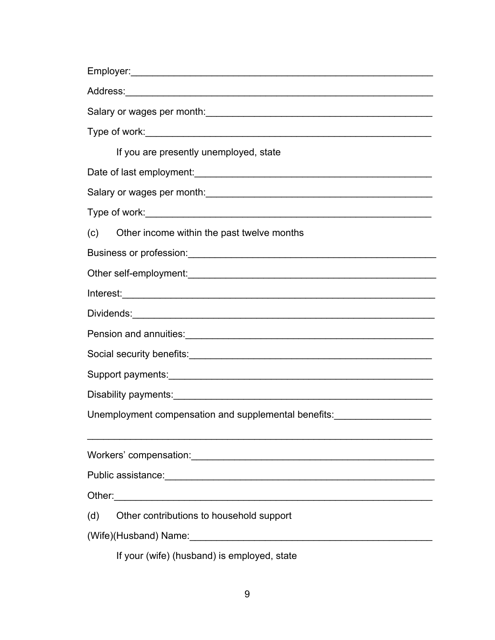| If you are presently unemployed, state                                                                                                                                                                                              |  |  |  |  |  |  |
|-------------------------------------------------------------------------------------------------------------------------------------------------------------------------------------------------------------------------------------|--|--|--|--|--|--|
|                                                                                                                                                                                                                                     |  |  |  |  |  |  |
|                                                                                                                                                                                                                                     |  |  |  |  |  |  |
| Type of work: New York and Separate and Separate and Separate and Separate and Separate and Separate and Separate and Separate and Separate and Separate and Separate and Separate and Separate and Separate and Separate and       |  |  |  |  |  |  |
| (C)<br>Other income within the past twelve months                                                                                                                                                                                   |  |  |  |  |  |  |
|                                                                                                                                                                                                                                     |  |  |  |  |  |  |
|                                                                                                                                                                                                                                     |  |  |  |  |  |  |
|                                                                                                                                                                                                                                     |  |  |  |  |  |  |
|                                                                                                                                                                                                                                     |  |  |  |  |  |  |
| Pension and annuities: <b>container and annuities</b> and annuities are all the sensitive and annuities are all the sensitive and annuities are all the sensitive and annuities are all the sensitive and annuities are all the sen |  |  |  |  |  |  |
|                                                                                                                                                                                                                                     |  |  |  |  |  |  |
|                                                                                                                                                                                                                                     |  |  |  |  |  |  |
|                                                                                                                                                                                                                                     |  |  |  |  |  |  |
|                                                                                                                                                                                                                                     |  |  |  |  |  |  |
|                                                                                                                                                                                                                                     |  |  |  |  |  |  |
|                                                                                                                                                                                                                                     |  |  |  |  |  |  |
|                                                                                                                                                                                                                                     |  |  |  |  |  |  |
|                                                                                                                                                                                                                                     |  |  |  |  |  |  |
| Other contributions to household support<br>(d)                                                                                                                                                                                     |  |  |  |  |  |  |
| (Wife)(Husband) Name: \\contact \\contact \\contact \\contact \\contact \\contact \\contact \\contact \\contact \\contact \\contact \\contact \\contact \\contact \\contact \\contact \\contact \\contact \\contact \\contact       |  |  |  |  |  |  |
| If your (wife) (husband) is employed, state                                                                                                                                                                                         |  |  |  |  |  |  |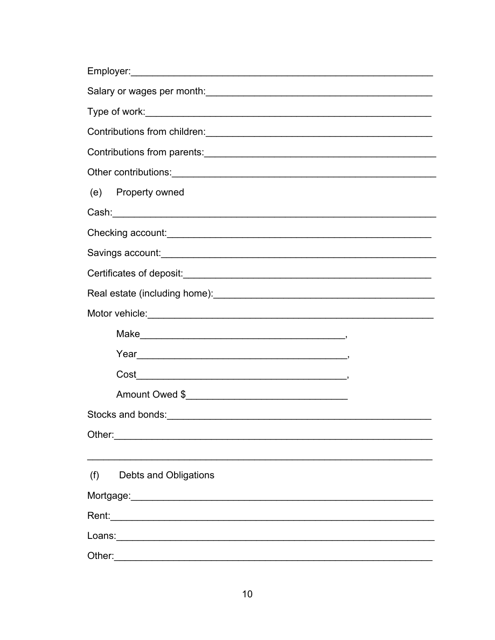| (e) Property owned           |  |  |  |  |  |  |
|------------------------------|--|--|--|--|--|--|
|                              |  |  |  |  |  |  |
|                              |  |  |  |  |  |  |
|                              |  |  |  |  |  |  |
|                              |  |  |  |  |  |  |
|                              |  |  |  |  |  |  |
|                              |  |  |  |  |  |  |
|                              |  |  |  |  |  |  |
|                              |  |  |  |  |  |  |
|                              |  |  |  |  |  |  |
| Amount Owed \$               |  |  |  |  |  |  |
|                              |  |  |  |  |  |  |
|                              |  |  |  |  |  |  |
|                              |  |  |  |  |  |  |
| (f)<br>Debts and Obligations |  |  |  |  |  |  |
|                              |  |  |  |  |  |  |
|                              |  |  |  |  |  |  |
|                              |  |  |  |  |  |  |
| Other:                       |  |  |  |  |  |  |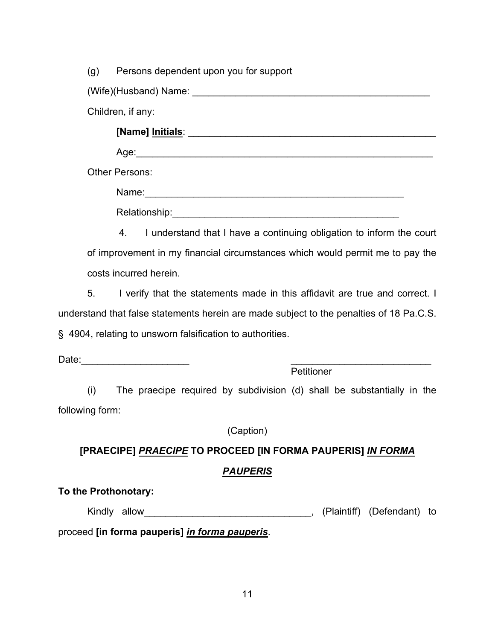(g) Persons dependent upon you for support

(Wife)(Husband) Name: \_\_\_\_\_\_\_\_\_\_\_\_\_\_\_\_\_\_\_\_\_\_\_\_\_\_\_\_\_\_\_\_\_\_\_\_\_\_\_\_\_\_\_\_

Children, if any:

**[Name] Initials**: \_\_\_\_\_\_\_\_\_\_\_\_\_\_\_\_\_\_\_\_\_\_\_\_\_\_\_\_\_\_\_\_\_\_\_\_\_\_\_\_\_\_\_\_\_\_

 $A$ ge:

Other Persons:

Name:\_\_\_\_\_\_\_\_\_\_\_\_\_\_\_\_\_\_\_\_\_\_\_\_\_\_\_\_\_\_\_\_\_\_\_\_\_\_\_\_\_\_\_\_\_\_\_\_ Relationship:\_\_\_\_\_\_\_\_\_\_\_\_\_\_\_\_\_\_\_\_\_\_\_\_\_\_\_\_\_\_\_\_\_\_\_\_\_\_\_\_\_\_

4. I understand that I have a continuing obligation to inform the court of improvement in my financial circumstances which would permit me to pay the costs incurred herein.

5. I verify that the statements made in this affidavit are true and correct. I understand that false statements herein are made subject to the penalties of 18 Pa.C.S. § 4904, relating to unsworn falsification to authorities.

Date:  $\frac{1}{2}$   $\frac{1}{2}$   $\frac{1}{2}$   $\frac{1}{2}$   $\frac{1}{2}$   $\frac{1}{2}$   $\frac{1}{2}$   $\frac{1}{2}$   $\frac{1}{2}$   $\frac{1}{2}$   $\frac{1}{2}$   $\frac{1}{2}$   $\frac{1}{2}$   $\frac{1}{2}$   $\frac{1}{2}$   $\frac{1}{2}$   $\frac{1}{2}$   $\frac{1}{2}$   $\frac{1}{2}$   $\frac{1}{2}$   $\frac{1}{2}$   $\frac{1$ 

**Petitioner** 

(i) The praecipe required by subdivision (d) shall be substantially in the following form:

(Caption)

# **[PRAECIPE]** *PRAECIPE* **TO PROCEED [IN FORMA PAUPERIS]** *IN FORMA*

# *PAUPERIS*

**To the Prothonotary:**

Kindly allow\_\_\_\_\_\_\_\_\_\_\_\_\_\_\_\_\_\_\_\_\_\_\_\_\_\_\_\_\_\_\_, (Plaintiff) (Defendant) to

proceed **[in forma pauperis]** *in forma pauperis*.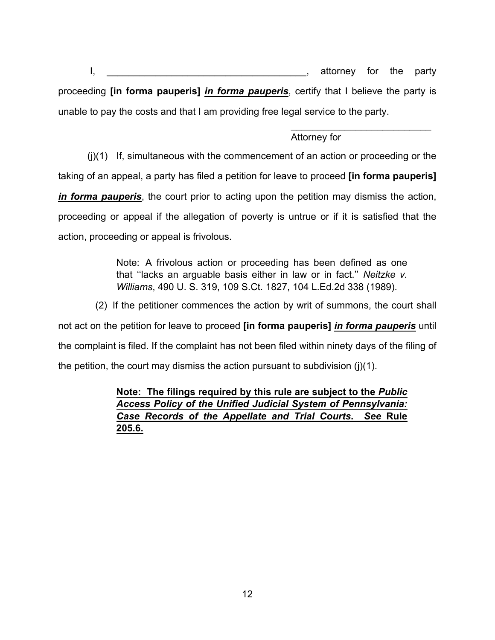I, the party is a set of the party is attorney for the party proceeding **[in forma pauperis]** *in forma pauperis*, certify that I believe the party is unable to pay the costs and that I am providing free legal service to the party.

 $\frac{1}{\sqrt{2}}$  ,  $\frac{1}{\sqrt{2}}$  ,  $\frac{1}{\sqrt{2}}$  ,  $\frac{1}{\sqrt{2}}$  ,  $\frac{1}{\sqrt{2}}$  ,  $\frac{1}{\sqrt{2}}$  ,  $\frac{1}{\sqrt{2}}$  ,  $\frac{1}{\sqrt{2}}$  ,  $\frac{1}{\sqrt{2}}$  ,  $\frac{1}{\sqrt{2}}$  ,  $\frac{1}{\sqrt{2}}$  ,  $\frac{1}{\sqrt{2}}$  ,  $\frac{1}{\sqrt{2}}$  ,  $\frac{1}{\sqrt{2}}$  ,  $\frac{1}{\sqrt{2}}$ 

## Attorney for

(j)(1) If, simultaneous with the commencement of an action or proceeding or the taking of an appeal, a party has filed a petition for leave to proceed **[in forma pauperis]** *in forma pauperis*, the court prior to acting upon the petition may dismiss the action, proceeding or appeal if the allegation of poverty is untrue or if it is satisfied that the action, proceeding or appeal is frivolous.

> Note: A frivolous action or proceeding has been defined as one that ''lacks an arguable basis either in law or in fact.'' *Neitzke v. Williams*, 490 U. S. 319, 109 S.Ct. 1827, 104 L.Ed.2d 338 (1989).

(2) If the petitioner commences the action by writ of summons, the court shall

not act on the petition for leave to proceed **[in forma pauperis]** *in forma pauperis* until the complaint is filed. If the complaint has not been filed within ninety days of the filing of the petition, the court may dismiss the action pursuant to subdivision  $(j)(1)$ .

> **Note: The filings required by this rule are subject to the** *Public Access Policy of the Unified Judicial System of Pennsylvania: Case Records of the Appellate and Trial Courts***.** *See* **Rule 205.6.**